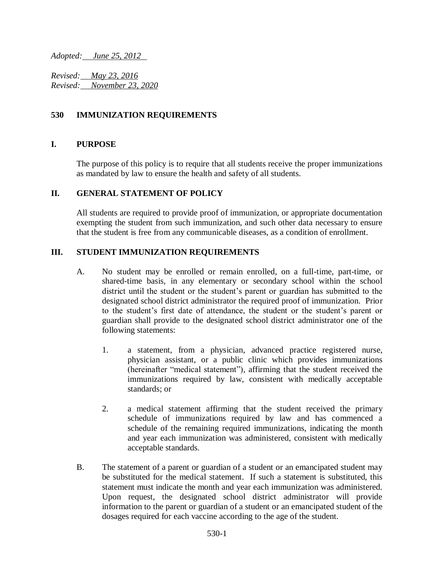*Adopted: June 25, 2012* 

*Revised: May 23, 2016 Revised: November 23, 2020*

## **530 IMMUNIZATION REQUIREMENTS**

### **I. PURPOSE**

The purpose of this policy is to require that all students receive the proper immunizations as mandated by law to ensure the health and safety of all students.

## **II. GENERAL STATEMENT OF POLICY**

All students are required to provide proof of immunization, or appropriate documentation exempting the student from such immunization, and such other data necessary to ensure that the student is free from any communicable diseases, as a condition of enrollment.

## **III. STUDENT IMMUNIZATION REQUIREMENTS**

- A. No student may be enrolled or remain enrolled, on a full-time, part-time, or shared-time basis, in any elementary or secondary school within the school district until the student or the student's parent or guardian has submitted to the designated school district administrator the required proof of immunization. Prior to the student's first date of attendance, the student or the student's parent or guardian shall provide to the designated school district administrator one of the following statements:
	- 1. a statement, from a physician, advanced practice registered nurse, physician assistant, or a public clinic which provides immunizations (hereinafter "medical statement"), affirming that the student received the immunizations required by law, consistent with medically acceptable standards; or
	- 2. a medical statement affirming that the student received the primary schedule of immunizations required by law and has commenced a schedule of the remaining required immunizations, indicating the month and year each immunization was administered, consistent with medically acceptable standards.
- B. The statement of a parent or guardian of a student or an emancipated student may be substituted for the medical statement. If such a statement is substituted, this statement must indicate the month and year each immunization was administered. Upon request, the designated school district administrator will provide information to the parent or guardian of a student or an emancipated student of the dosages required for each vaccine according to the age of the student.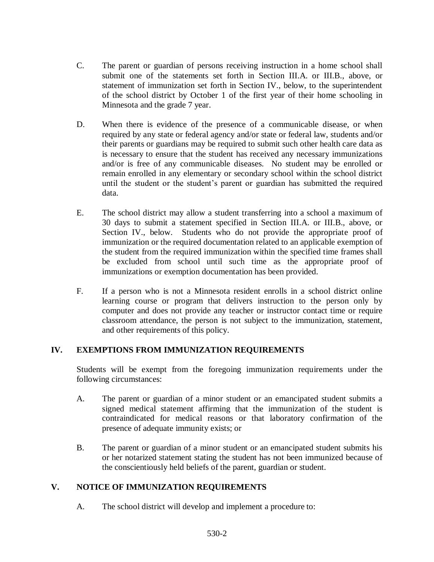- C. The parent or guardian of persons receiving instruction in a home school shall submit one of the statements set forth in Section III.A. or III.B., above, or statement of immunization set forth in Section IV., below, to the superintendent of the school district by October 1 of the first year of their home schooling in Minnesota and the grade 7 year.
- D. When there is evidence of the presence of a communicable disease, or when required by any state or federal agency and/or state or federal law, students and/or their parents or guardians may be required to submit such other health care data as is necessary to ensure that the student has received any necessary immunizations and/or is free of any communicable diseases. No student may be enrolled or remain enrolled in any elementary or secondary school within the school district until the student or the student's parent or guardian has submitted the required data.
- E. The school district may allow a student transferring into a school a maximum of 30 days to submit a statement specified in Section III.A. or III.B., above, or Section IV., below. Students who do not provide the appropriate proof of immunization or the required documentation related to an applicable exemption of the student from the required immunization within the specified time frames shall be excluded from school until such time as the appropriate proof of immunizations or exemption documentation has been provided.
- F. If a person who is not a Minnesota resident enrolls in a school district online learning course or program that delivers instruction to the person only by computer and does not provide any teacher or instructor contact time or require classroom attendance, the person is not subject to the immunization, statement, and other requirements of this policy.

# **IV. EXEMPTIONS FROM IMMUNIZATION REQUIREMENTS**

Students will be exempt from the foregoing immunization requirements under the following circumstances:

- A. The parent or guardian of a minor student or an emancipated student submits a signed medical statement affirming that the immunization of the student is contraindicated for medical reasons or that laboratory confirmation of the presence of adequate immunity exists; or
- B. The parent or guardian of a minor student or an emancipated student submits his or her notarized statement stating the student has not been immunized because of the conscientiously held beliefs of the parent, guardian or student.

# **V. NOTICE OF IMMUNIZATION REQUIREMENTS**

A. The school district will develop and implement a procedure to: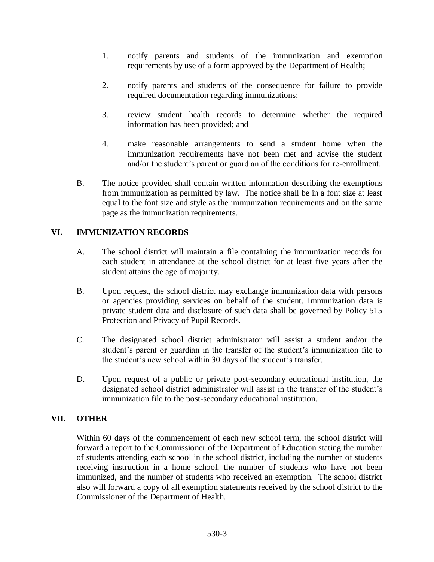- 1. notify parents and students of the immunization and exemption requirements by use of a form approved by the Department of Health;
- 2. notify parents and students of the consequence for failure to provide required documentation regarding immunizations;
- 3. review student health records to determine whether the required information has been provided; and
- 4. make reasonable arrangements to send a student home when the immunization requirements have not been met and advise the student and/or the student's parent or guardian of the conditions for re-enrollment.
- B. The notice provided shall contain written information describing the exemptions from immunization as permitted by law. The notice shall be in a font size at least equal to the font size and style as the immunization requirements and on the same page as the immunization requirements.

# **VI. IMMUNIZATION RECORDS**

- A. The school district will maintain a file containing the immunization records for each student in attendance at the school district for at least five years after the student attains the age of majority.
- B. Upon request, the school district may exchange immunization data with persons or agencies providing services on behalf of the student. Immunization data is private student data and disclosure of such data shall be governed by Policy 515 Protection and Privacy of Pupil Records.
- C. The designated school district administrator will assist a student and/or the student's parent or guardian in the transfer of the student's immunization file to the student's new school within 30 days of the student's transfer.
- D. Upon request of a public or private post-secondary educational institution, the designated school district administrator will assist in the transfer of the student's immunization file to the post-secondary educational institution.

### **VII. OTHER**

Within 60 days of the commencement of each new school term, the school district will forward a report to the Commissioner of the Department of Education stating the number of students attending each school in the school district, including the number of students receiving instruction in a home school, the number of students who have not been immunized, and the number of students who received an exemption. The school district also will forward a copy of all exemption statements received by the school district to the Commissioner of the Department of Health.